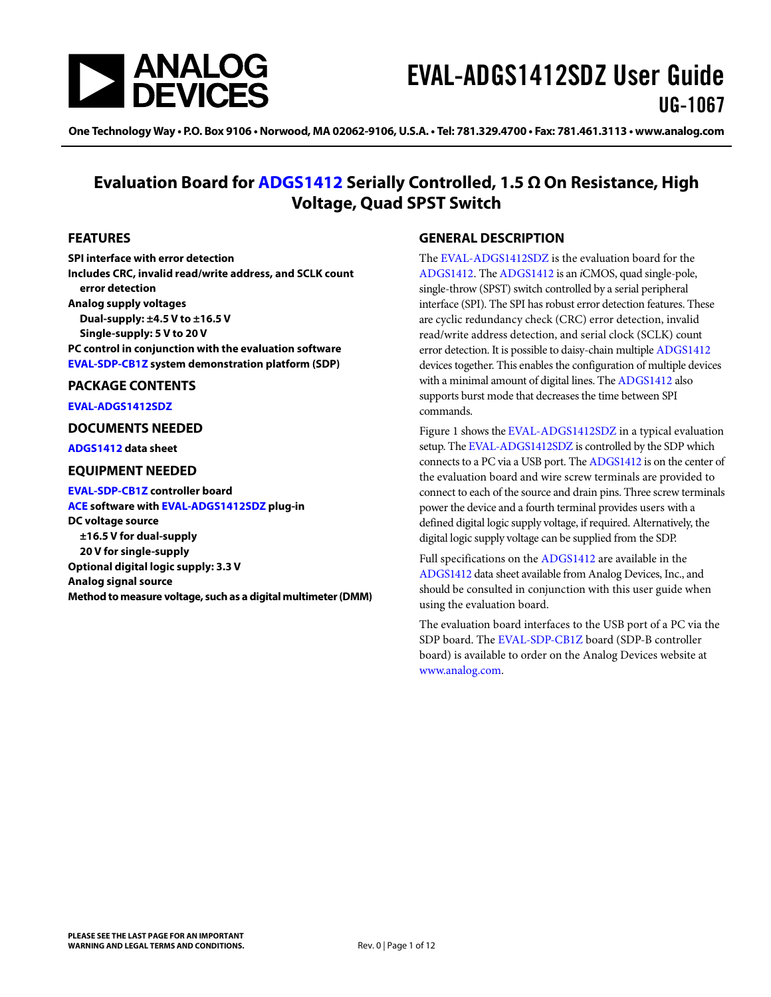

# EVAL-ADGS1412SDZ User Guide UG-1067

One Technology Way • P.O. Box 9106 • Norwood, MA 02062-9106, U.S.A. • Tel: 781.329.4700 • Fax: 781.461.3113 • www.analog.com

## **Evaluation Board for [ADGS1412](http://www.analog.com/ADGS1412?doc=EVAL-ADGS1412SDZ-UG-1067.pdf) Serially Controlled, 1.5 Ω On Resistance, High Voltage, Quad SPST Switch**

## <span id="page-0-0"></span>**FEATURES**

**SPI interface with error detection Includes CRC, invalid read/write address, and SCLK count error detection Analog supply voltages** 

**Dual-supply: ±4.5 V to ±16.5 V**

**Single-supply: 5 V to 20 V**

**PC control in conjunction with the evaluation software [EVAL-SDP-CB1Z](http://www.analog.com/EVAL-SDP-CB1Z?doc=EVAL-ADGS1412SDZ-UG-1067.pdf) system demonstration platform (SDP)**

## <span id="page-0-1"></span>**PACKAGE CONTENTS**

**[EVAL-ADGS1412SDZ](http://www.analog.com/EVAL-ADGS1412SDZ?doc=EVAL-ADGS1412SDZ-UG-1067.pdf)**

## <span id="page-0-2"></span>**DOCUMENTS NEEDED**

**[ADGS1412](http://www.analog.com/ADGS1412?doc=EVAL-ADGS1412SDZ-UG-1067.pdf) data sheet**

## <span id="page-0-3"></span>**EQUIPMENT NEEDED**

**[EVAL-SDP-CB1Z](http://www.analog.com/EVAL-SDP-CB1Z?doc=EVAL-ADGS1412SDZ-UG-1067.pdf) controller board [ACE](http://www.analog.com/ACE?doc=EVAL-ADGS1412SDZ-UG-1067.pdf) software wit[h EVAL-ADGS1412SDZ](http://www.analog.com/EVAL-ADGS1412SDZ?doc=EVAL-ADGS1412SDZ-UG-1067.pdf) plug-in DC voltage source ±16.5 V for dual-supply 20 V for single-supply Optional digital logic supply: 3.3 V Analog signal source Method to measure voltage, such as a digital multimeter (DMM)**

## <span id="page-0-4"></span>**GENERAL DESCRIPTION**

The [EVAL-ADGS1412SDZ](http://www.analog.com/EVAL-ADGS1412SDZ?doc=EVAL-ADGS1412SDZ-UG-1067.pdf) is the evaluation board for the [ADGS1412.](http://www.analog.com/ADGS1412?doc=EVAL-ADGS1412SDZ-UG-1067.pdf) The [ADGS1412](http://www.analog.com/ADGS1412?doc=EVAL-ADGS1412SDZ-UG-1067.pdf) is an *i*CMOS, quad single-pole, single-throw (SPST) switch controlled by a serial peripheral interface (SPI). The SPI has robust error detection features. These are cyclic redundancy check (CRC) error detection, invalid read/write address detection, and serial clock (SCLK) count error detection. It is possible to daisy-chain multipl[e ADGS1412](http://www.analog.com/ADGS1412?doc=EVAL-ADGS1412SDZ-UG-1067.pdf) devices together. This enables the configuration of multiple devices with a minimal amount of digital lines. Th[e ADGS1412](http://www.analog.com/ADGS1412?doc=EVAL-ADGS1412SDZ-UG-1067.pdf) also supports burst mode that decreases the time between SPI commands.

[Figure 1](#page-2-0) shows th[e EVAL-ADGS1412SDZ](http://www.analog.com/EVAL-ADGS1412SDZ?doc=EVAL-ADGS1412SDZ-UG-1067.pdf) in a typical evaluation setup. Th[e EVAL-ADGS1412SDZ](http://www.analog.com/EVAL-ADGS1412SDZ?doc=EVAL-ADGS1412SDZ-UG-1067.pdf) is controlled by the SDP which connects to a PC via a USB port. Th[e ADGS1412](http://www.analog.com/ADGS1412?doc=EVAL-ADGS1412SDZ-UG-1067.pdf) is on the center of the evaluation board and wire screw terminals are provided to connect to each of the source and drain pins. Three screw terminals power the device and a fourth terminal provides users with a defined digital logic supply voltage, if required. Alternatively, the digital logic supply voltage can be supplied from the SDP.

Full specifications on the [ADGS1412](http://www.analog.com/ADGS1412?doc=EVAL-ADGS1412SDZ-UG-1067.pdf) are available in the [ADGS1412](http://www.analog.com/ADGS1412?doc=EVAL-ADGS1412SDZ-UG-1067.pdf) data sheet available from Analog Devices, Inc., and should be consulted in conjunction with this user guide when using the evaluation board.

The evaluation board interfaces to the USB port of a PC via the SDP board. Th[e EVAL-SDP-CB1Z](http://www.analog.com/EVAL-SDP-CB1Z?doc=EVAL-ADGS1412SDZ-UG-1067.pdf) board (SDP-B controller board) is available to order on the Analog Devices website at [www.analog.com.](http://www.analog.com/)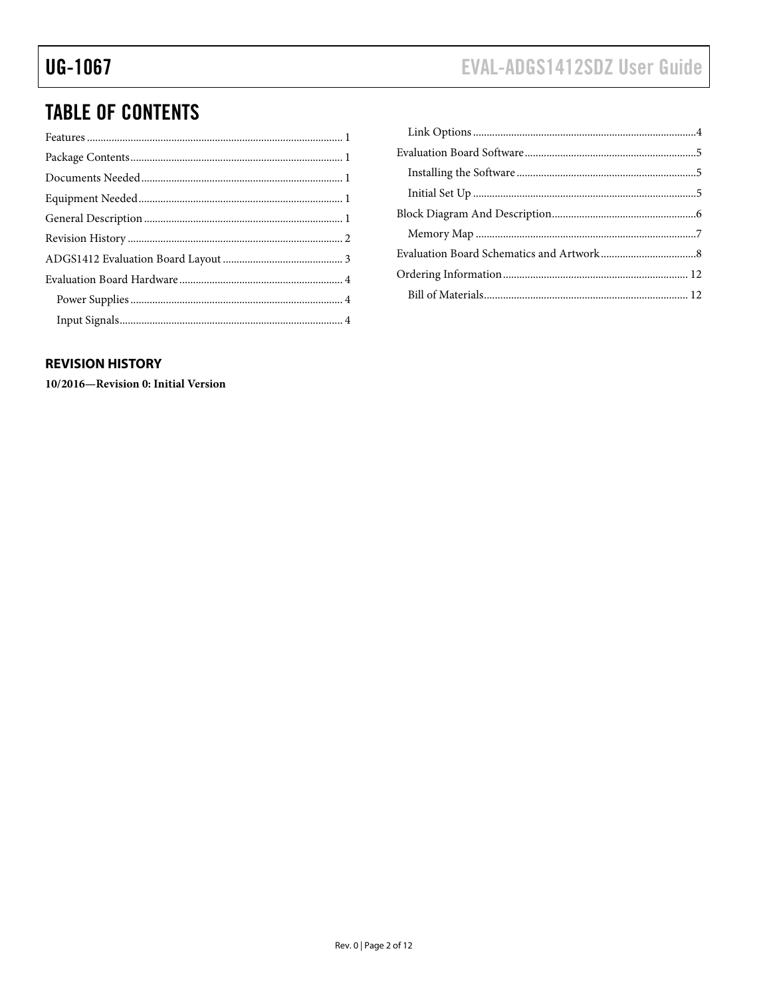# **TABLE OF CONTENTS**

## <span id="page-1-0"></span>**REVISION HISTORY**

10/2016-Revision 0: Initial Version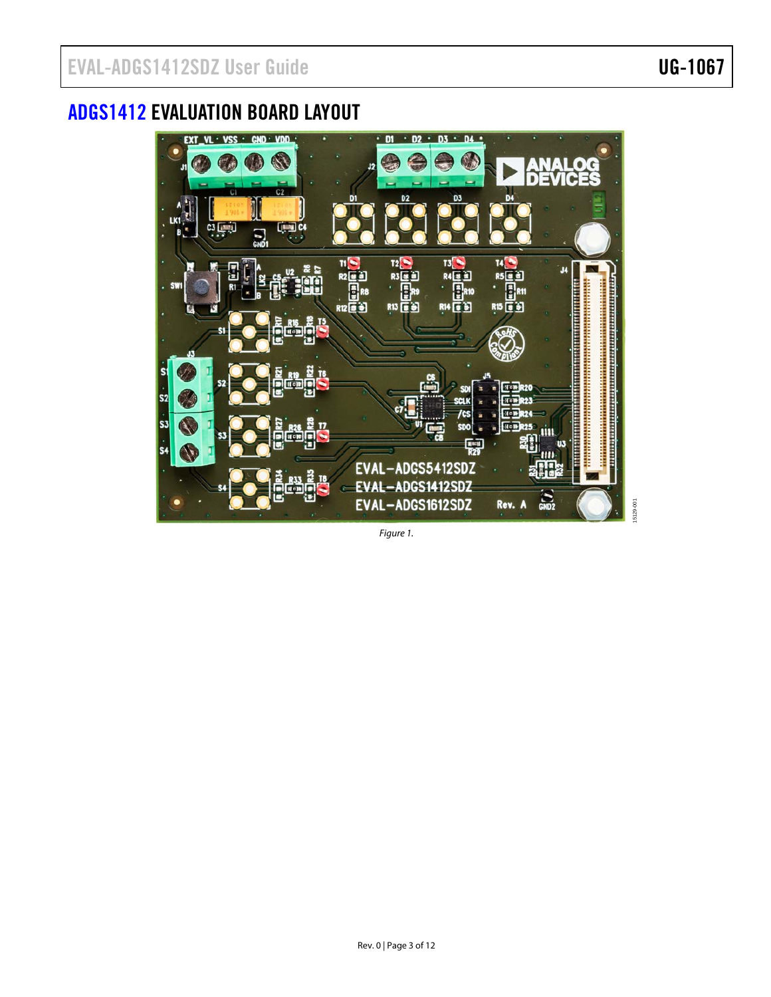# <span id="page-2-1"></span>[ADGS1412](http://www.analog.com/ADGS1412?doc=EVAL-ADGS1412SDZ-UG-1067.pdf) EVALUATION BOARD LAYOUT



<span id="page-2-0"></span>*Figure 1.* 

15129-001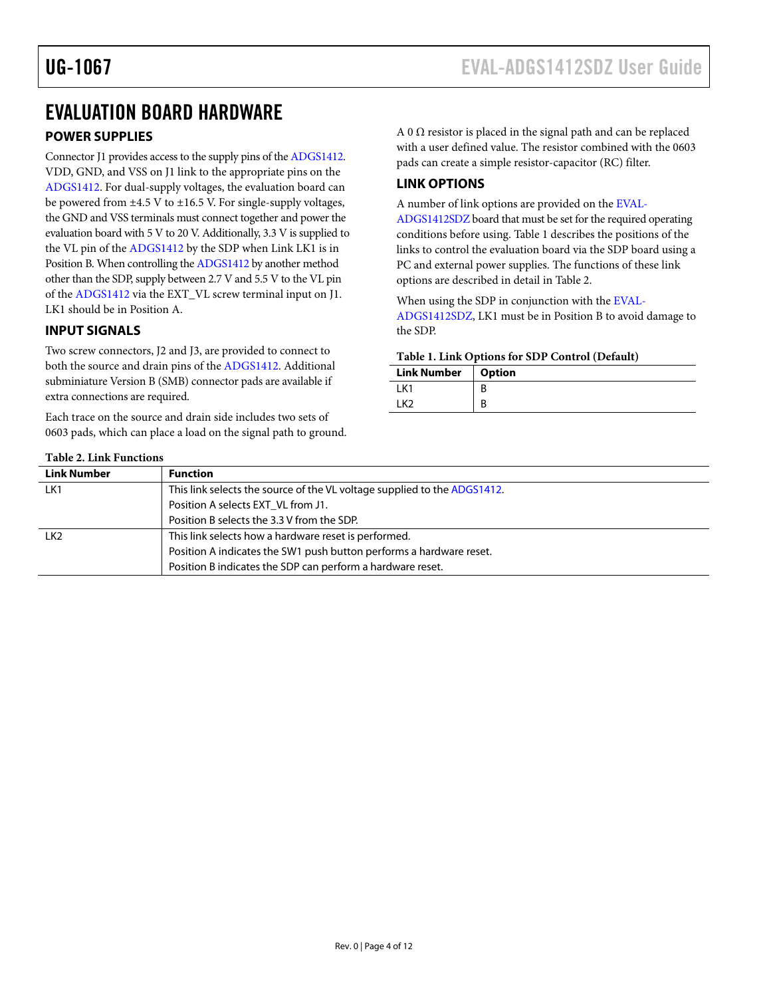## <span id="page-3-0"></span>EVALUATION BOARD HARDWARE

## <span id="page-3-1"></span>**POWER SUPPLIES**

Connector J1 provides access to the supply pins of th[e ADGS1412.](http://www.analog.com/ADGS1412?doc=EVAL-ADGS1412SDZ-UG-1067.pdf)  VDD, GND, and VSS on J1 link to the appropriate pins on the [ADGS1412.](http://www.analog.com/ADGS1412?doc=EVAL-ADGS1412SDZ-UG-1067.pdf) For dual-supply voltages, the evaluation board can be powered from  $\pm 4.5$  V to  $\pm 16.5$  V. For single-supply voltages, the GND and VSS terminals must connect together and power the evaluation board with 5 V to 20 V. Additionally, 3.3 V is supplied to the VL pin of the [ADGS1412](http://www.analog.com/ADGS1412?doc=EVAL-ADGS1412SDZ-UG-1067.pdf) by the SDP when Link LK1 is in Position B. When controlling th[e ADGS1412 b](http://www.analog.com/ADGS1412?doc=EVAL-ADGS1412SDZ-UG-1067.pdf)y another method other than the SDP, supply between 2.7 V and 5.5 V to the VL pin of the [ADGS1412](http://www.analog.com/ADGS1412?doc=EVAL-ADGS1412SDZ-UG-1067.pdf) via the EXT\_VL screw terminal input on J1. LK1 should be in Position A.

## <span id="page-3-2"></span>**INPUT SIGNALS**

Two screw connectors, J2 and J3, are provided to connect to both the source and drain pins of the [ADGS1412.](http://www.analog.com/ADG5208F?doc=EVAL-ADG5208FEBZ_UG-874.pdf) Additional subminiature Version B (SMB) connector pads are available if extra connections are required.

Each trace on the source and drain side includes two sets of 0603 pads, which can place a load on the signal path to ground.

## <span id="page-3-5"></span>**Table 2. Link Functions**

A 0  $\Omega$  resistor is placed in the signal path and can be replaced with a user defined value. The resistor combined with the 0603 pads can create a simple resistor-capacitor (RC) filter.

## <span id="page-3-3"></span>**LINK OPTIONS**

A number of link options are provided on th[e EVAL-](http://www.analog.com/EVAL-ADGS1412SDZ?doc=EVAL-ADGS1412SDZ-UG-1067.pdf)[ADGS1412SDZ](http://www.analog.com/EVAL-ADGS1412SDZ?doc=EVAL-ADGS1412SDZ-UG-1067.pdf) board that must be set for the required operating conditions before using[. Table 1 d](#page-3-4)escribes the positions of the links to control the evaluation board via the SDP board using a

PC and external power supplies. The functions of these link options are described in detail i[n Table 2.](#page-3-5)

When using the SDP in conjunction with th[e EVAL-](http://www.analog.com/EVAL-ADGS1412SDZ?doc=EVAL-ADGS1412SDZ-UG-1067.pdf)[ADGS1412SDZ,](http://www.analog.com/EVAL-ADGS1412SDZ?doc=EVAL-ADGS1412SDZ-UG-1067.pdf) LK1 must be in Position B to avoid damage to the SDP.

<span id="page-3-4"></span>

|  |  |  |  |  | Table 1. Link Options for SDP Control (Default) |
|--|--|--|--|--|-------------------------------------------------|
|--|--|--|--|--|-------------------------------------------------|

| <b>Link Number</b> | Option |
|--------------------|--------|
| K <sub>1</sub>     |        |
| $\mathcal{L}$      |        |

| <b>Link Number</b> | <b>Function</b>                                                          |  |
|--------------------|--------------------------------------------------------------------------|--|
| LK1                | This link selects the source of the VL voltage supplied to the ADGS1412. |  |
|                    | Position A selects EXT_VL from J1.                                       |  |
|                    | Position B selects the 3.3 V from the SDP.                               |  |
| LK <sub>2</sub>    | This link selects how a hardware reset is performed.                     |  |
|                    | Position A indicates the SW1 push button performs a hardware reset.      |  |
|                    | Position B indicates the SDP can perform a hardware reset.               |  |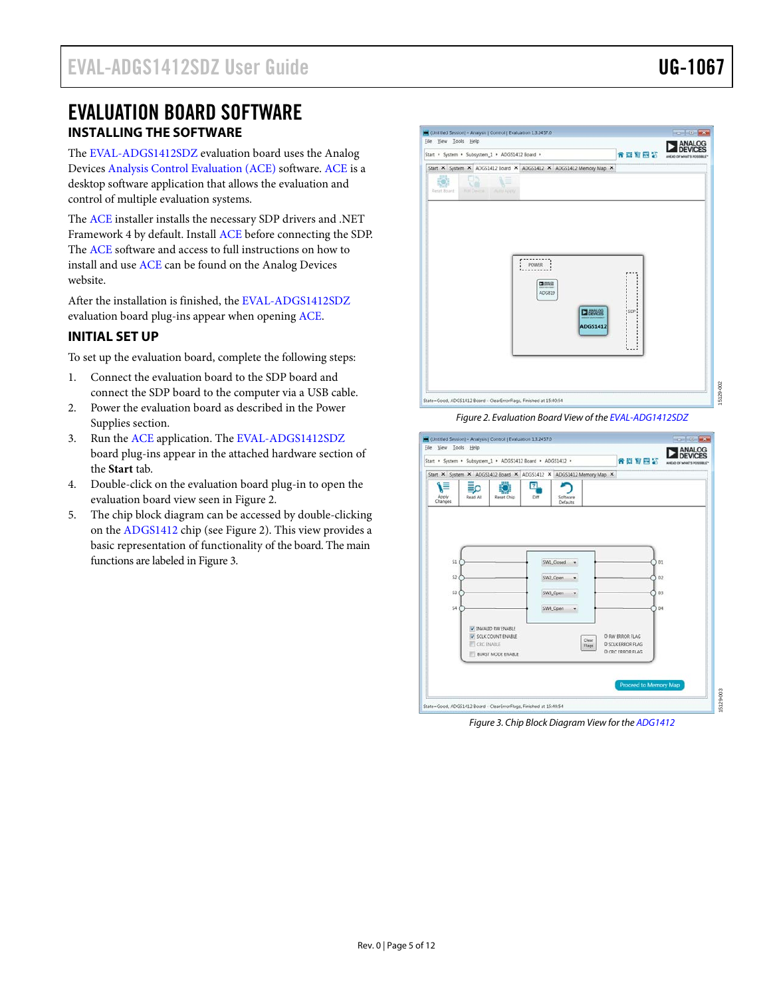## <span id="page-4-1"></span><span id="page-4-0"></span>EVALUATION BOARD SOFTWARE **INSTALLING THE SOFTWARE**

The [EVAL-ADGS1412SDZ](http://www.analog.com/EVAL-ADGS1412SDZ?doc=EVAL-ADGS1412SDZ-UG-1067.pdf) evaluation board uses the Analog Devices [Analysis Control Evaluation \(ACE\)](http://www.analog.com/ACE?doc=EVAL-ADGS1412SDZ-UG-1067.pdf) software. [ACE](http://www.analog.com/ACE?doc=EVAL-ADGS1412SDZ-UG-1067.pdf) is a desktop software application that allows the evaluation and control of multiple evaluation systems.

The [ACE](http://www.analog.com/ACE?doc=EVAL-ADGS1412SDZ-UG-1067.pdf) installer installs the necessary SDP drivers and .NET Framework 4 by default. Install [ACE](http://www.analog.com/ACE?doc=EVAL-ADGS1412SDZ-UG-1067.pdf) before connecting the SDP. The [ACE](http://www.analog.com/ACE?doc=EVAL-ADGS1412SDZ-UG-1067.pdf) software and access to full instructions on how to install and us[e ACE](http://www.analog.com/ACE?doc=EVAL-ADGS1412SDZ-UG-1067.pdf) can be found on the Analog Devices website.

After the installation is finished, th[e EVAL-ADGS1412SDZ](http://www.analog.com/EVAL-ADGS1412SDZ?doc=EVAL-ADGS1412SDZ-UG-1067.pdf) evaluation board plug-ins appear when opening [ACE.](http://www.analog.com/ACE?doc=EVAL-ADGS1412SDZ-UG-1067.pdf) 

## <span id="page-4-2"></span>**INITIAL SET UP**

To set up the evaluation board, complete the following steps:

- 1. Connect the evaluation board to the SDP board and connect the SDP board to the computer via a USB cable.
- 2. Power the evaluation board as described in the [Power](#page-3-1)  [Supplies](#page-3-1) section.
- 3. Run the [ACE](http://www.analog.com/ACE?doc=EVAL-ADGS1412SDZ-UG-1067.pdf) application. The [EVAL-ADGS1412SDZ](http://www.analog.com/EVAL-ADGS1412SDZ?doc=EVAL-ADGS1412SDZ-UG-1067.pdf) board plug-ins appear in the attached hardware section of the **Start** tab.
- 4. Double-click on the evaluation board plug-in to open the evaluation board view seen in [Figure 2.](#page-4-3)
- 5. The chip block diagram can be accessed by double-clicking on the [ADGS1412](http://www.analog.com/ADGS1412?doc=EVAL-ADGS1412SDZ-UG-1067.pdf) chip (se[e Figure 2\)](#page-4-3). This view provides a basic representation of functionality of the board. The main functions are labeled in [Figure 3.](#page-4-4)



*Figure 2. Evaluation Board View of th[e EVAL-ADG1412SDZ](http://www.analog.com/EVAL-AD5663R-SDZ?doc=EVAL-AD5663R-SDZ-EVAL-AD5667R-SDZ-UG-991.pdf)*

<span id="page-4-3"></span>

<span id="page-4-4"></span>*Figure 3. Chip Block Diagram View for th[e ADG1412](http://www.analog.com/AD5663R?doc=EVAL-AD5663R-SDZ-EVAL-AD5667R-SDZ-UG-991.pdf)*

15129-003

5129-003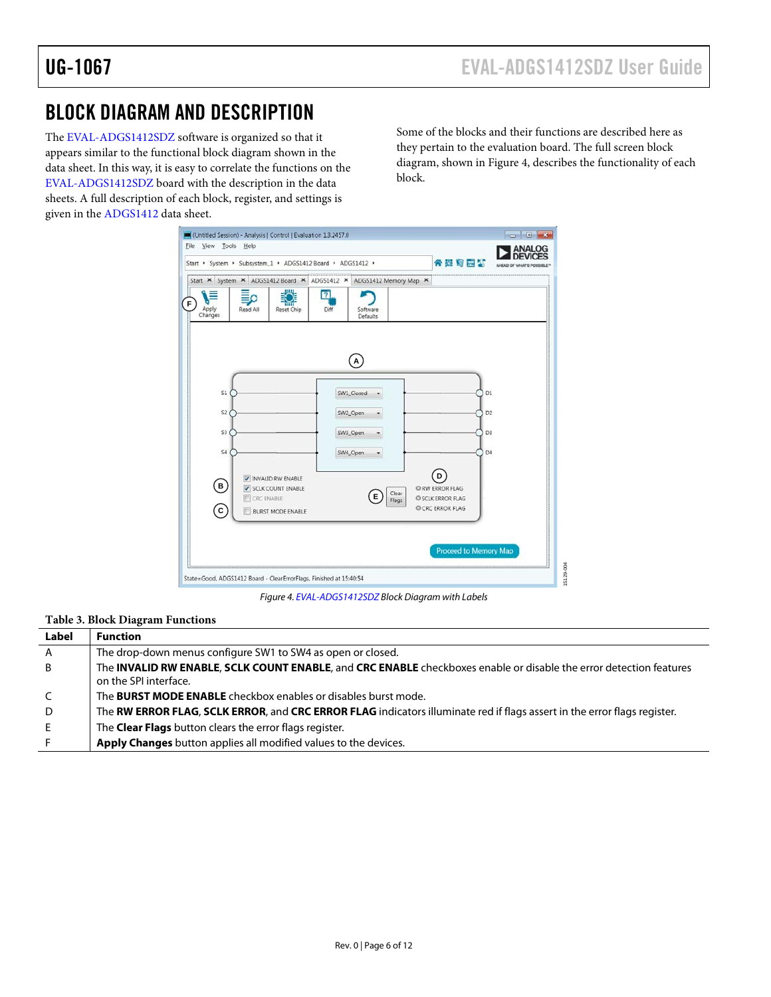# <span id="page-5-0"></span>BLOCK DIAGRAM AND DESCRIPTION

The [EVAL-ADGS1412SDZ](http://www.analog.com/EVAL-ADGS1412SDZ?doc=EVAL-ADGS1412SDZ-UG-1067.pdf) software is organized so that it appears similar to the functional block diagram shown in the data sheet. In this way, it is easy to correlate the functions on the [EVAL-ADGS1412SDZ](http://www.analog.com/EVAL-ADGS1412SDZ?doc=EVAL-ADGS1412SDZ-UG-1067.pdf) board with the description in the data sheets. A full description of each block, register, and settings is given in the [ADGS1412](http://www.analog.com/ADGS1412?doc=EVAL-ADGS1412SDZ-UG-1067.pdf) data sheet.

Some of the blocks and their functions are described here as they pertain to the evaluation board. The full screen block diagram, shown in [Figure 4,](#page-5-1) describes the functionality of each block.

15129-004



*Figure 4[. EVAL-ADGS1412SDZ](http://www.analog.com/EVAL-ADGS1412SDZ?doc=EVAL-ADGS1412SDZ-UG-1067.pdf) Block Diagram with Labels*

### <span id="page-5-1"></span>**Table 3. Block Diagram Functions**

| Label        | <b>Function</b>                                                                                                                             |
|--------------|---------------------------------------------------------------------------------------------------------------------------------------------|
| A            | The drop-down menus configure SW1 to SW4 as open or closed.                                                                                 |
| B            | The INVALID RW ENABLE, SCLK COUNT ENABLE, and CRC ENABLE checkboxes enable or disable the error detection features<br>on the SPI interface. |
| $\mathsf{C}$ | The <b>BURST MODE ENABLE</b> checkbox enables or disables burst mode.                                                                       |
| D            | The RW ERROR FLAG, SCLK ERROR, and CRC ERROR FLAG indicators illuminate red if flags assert in the error flags register.                    |
| E            | The <b>Clear Flags</b> button clears the error flags register.                                                                              |
| F.           | Apply Changes button applies all modified values to the devices.                                                                            |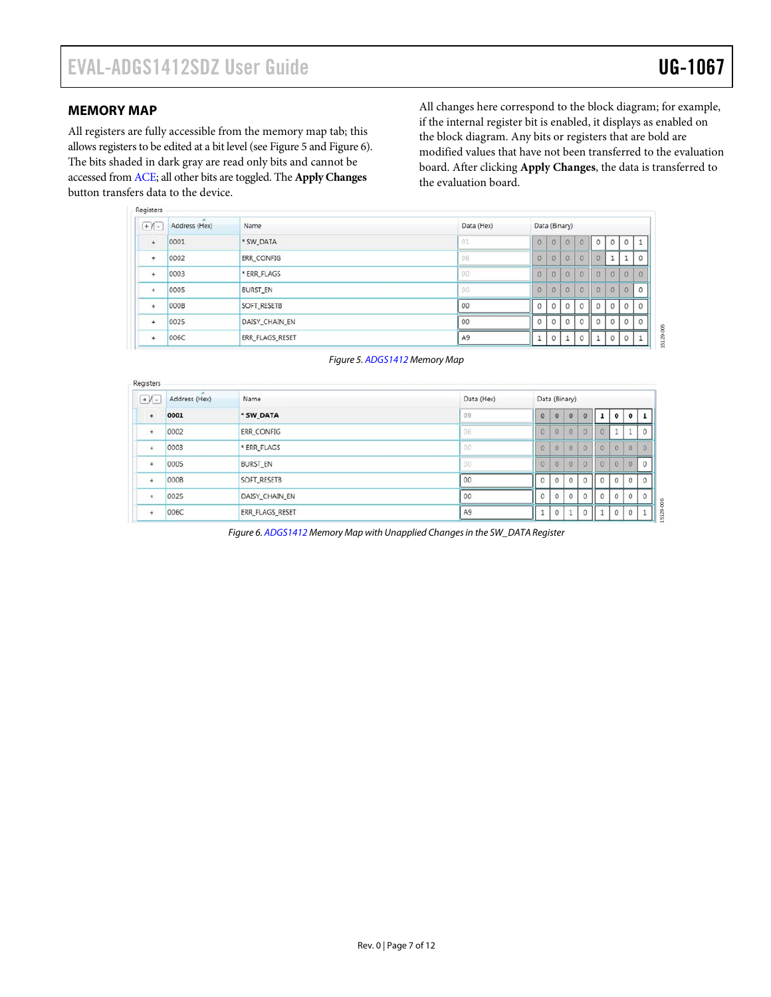15129-005

5129-005

## <span id="page-6-0"></span>**MEMORY MAP**

All registers are fully accessible from the memory map tab; this allows registers to be edited at a bit level (se[e Figure 5](#page-6-1) an[d Figure 6\)](#page-6-2). The bits shaded in dark gray are read only bits and cannot be accessed fro[m ACE;](http://www.analog.com/ACE?doc=EVAL-ADGS1412SDZ-UG-1067.pdf) all other bits are toggled. The **Apply Changes** button transfers data to the device.

All changes here correspond to the block diagram; for example, if the internal register bit is enabled, it displays as enabled on the block diagram. Any bits or registers that are bold are modified values that have not been transferred to the evaluation board. After clicking **Apply Changes**, the data is transferred to the evaluation board.

| $+$ / $-$ | <b>Seller</b><br>Address (Hex) | Name               | Data (Hex)     |          |         | Data (Binary) |          |                |          |         |              |
|-----------|--------------------------------|--------------------|----------------|----------|---------|---------------|----------|----------------|----------|---------|--------------|
| $+$       | 0001                           | * SW_DATA          | 01             | $\circ$  | $\circ$ | 0             |          | $0$ 0 0 0 $1$  |          |         |              |
| ٠         | 0002                           | ERR_CONFIG         | 06             | $\circ$  | $\circ$ | $\circ$       | $\circ$  | $\overline{O}$ | 1        |         | $\circ$      |
| $\ddot{}$ | 0003                           | <b>* ERR_FLAGS</b> | 00             | $\circ$  | $\circ$ | 0             | $\theta$ | $\overline{0}$ | $\Omega$ | $\circ$ | $\theta$     |
| $\ddot{}$ | 0005                           | <b>BURST_EN</b>    | 00             | $\Omega$ | $\circ$ | $\circ$       | $\circ$  | $\Omega$       | $\circ$  | $\circ$ | $\Omega$     |
| $\ddot{}$ | 000B                           | <b>SOFT_RESETB</b> | 00             | 0        | 0       | 0             | $\circ$  | $\circ$        | $\circ$  | $\circ$ | $\circ$      |
| $\ddot{}$ | 0025                           | DAISY_CHAIN_EN     | 00             | 0        | 0       | 0             | $\circ$  | $\circ$        | 0        | $\circ$ | $\circ$      |
| $\div$    | 006C                           | ERR_FLAGS_RESET    | A <sub>9</sub> |          | 0       |               | $\circ$  | 1              | $\circ$  | $\circ$ | $\mathbf{1}$ |

| Figure 5. ADGS1412 Memory Map |  |
|-------------------------------|--|
|-------------------------------|--|

<span id="page-6-2"></span><span id="page-6-1"></span>

| $+$ / $-$<br>Address (Hex)<br>Name | Data (Hex) |                 | Data (Binary)  |              |          |          |           |          |              |              |              |
|------------------------------------|------------|-----------------|----------------|--------------|----------|----------|-----------|----------|--------------|--------------|--------------|
| $+$                                | 0001       | * SW_DATA       | 09             | $\mathbf{0}$ | $\circ$  | $\circ$  | $\bullet$ | 1        | $\mathbf{o}$ | $\mathbf{o}$ | $\mathbf{1}$ |
| $\ddot{}$                          | 0002       | ERR_CONFIG      | 06             | $\Omega$     | $\circ$  | $\Omega$ | $\circ$   | $\circ$  |              |              | $\Omega$     |
| $+$                                | 0003       | * ERR_FLAGS     | 00             | $\Omega$     | $\Omega$ | $\Omega$ | $\Omega$  | $\Omega$ | $\theta$     | $\alpha$     | $\theta$     |
| $\ddot{}$                          | 0005       | <b>BURST_EN</b> | 00             | $\circ$      | $\circ$  | $\circ$  | $\theta$  | $\theta$ | $\theta$     | $\circ$      | $\theta$     |
| $+$                                | 000B       | SOFT_RESETB     | 00             | $\circ$      | $\circ$  | $\circ$  | $\circ$   | 0        | 0            | $\circ$      | $\mathbf{0}$ |
| $+$                                | 0025       | DAISY_CHAIN_EN  | 00             | $\Omega$     | $\circ$  | 0        | 0         | 0        | $\circ$      | 0            | $\circ$      |
| $^{+}$                             | 006C       | ERR_FLAGS_RESET | A <sub>9</sub> |              | $\circ$  |          | 0         |          | 0            |              |              |

*Figure 6[. ADGS1412](http://www.analog.com/ADGS1412?doc=EVAL-ADGS1412SDZ-UG-1067.pdf) Memory Map with Unapplied Changes in the SW\_DATA Register*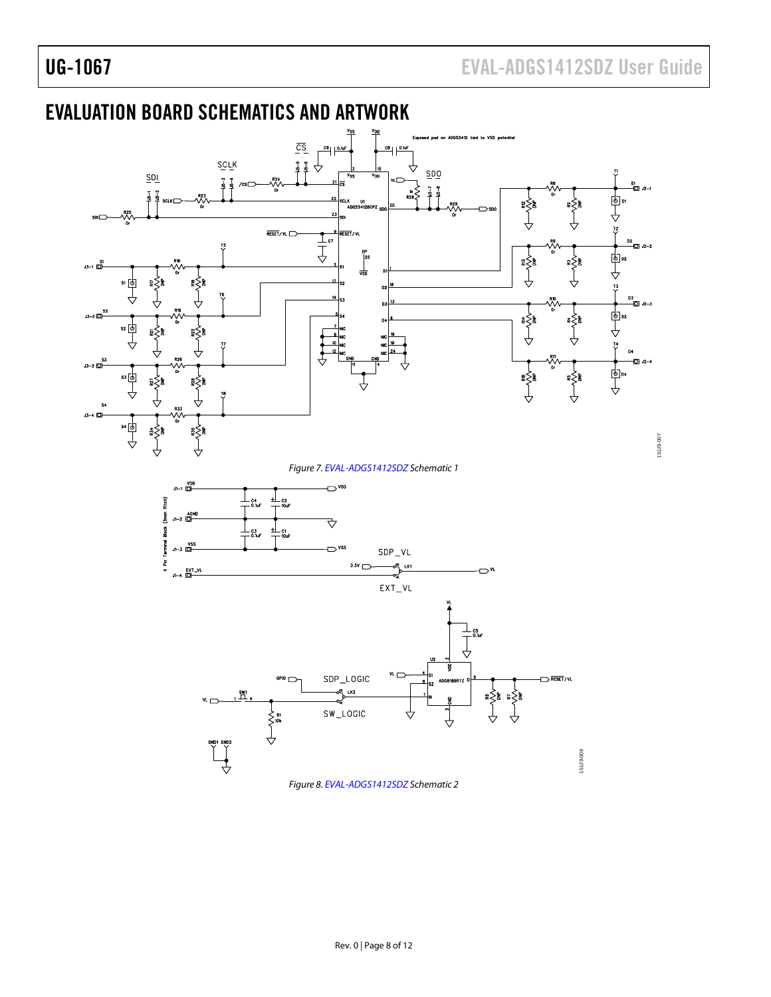<span id="page-7-0"></span>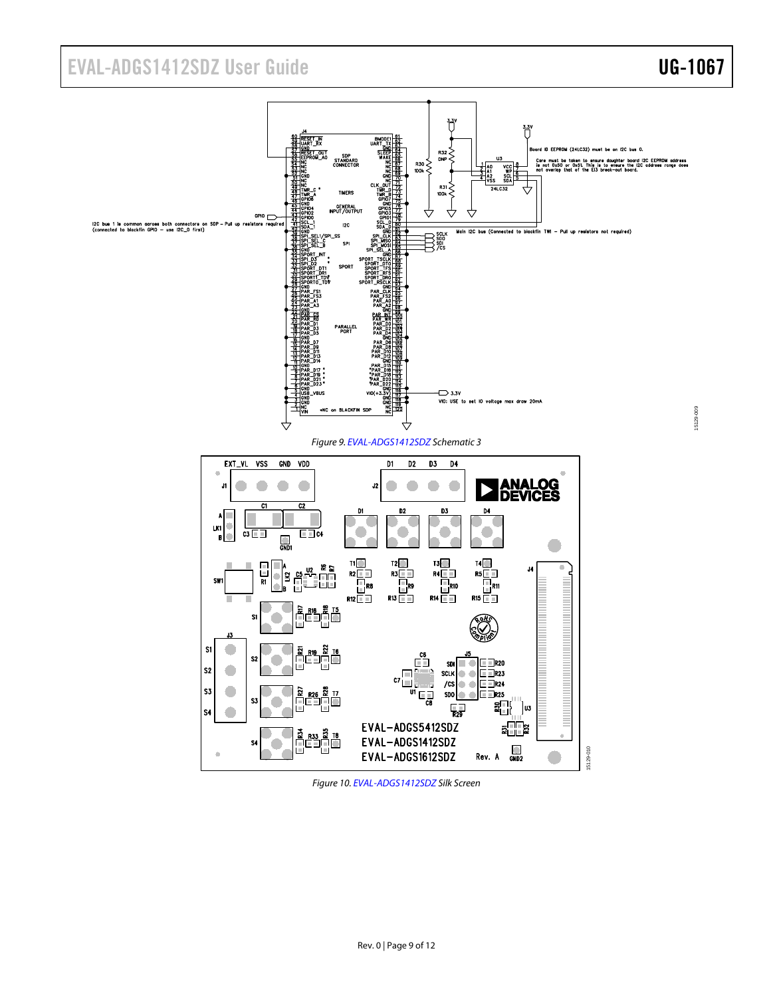# EVAL-ADGS1412SDZ User Guide Valley Control Control Control Control Control Control Control Control Control Control Control Control Control Control Control Control Control Control Control Control Control Control Control Con



15129-009

5129-009



*Figure 10[. EVAL-ADGS1412SDZ](http://www.analog.com/EVAL-ADGS1412SDZ?doc=EVAL-ADGS1412SDZ-UG-1067.pdf) Silk Screen*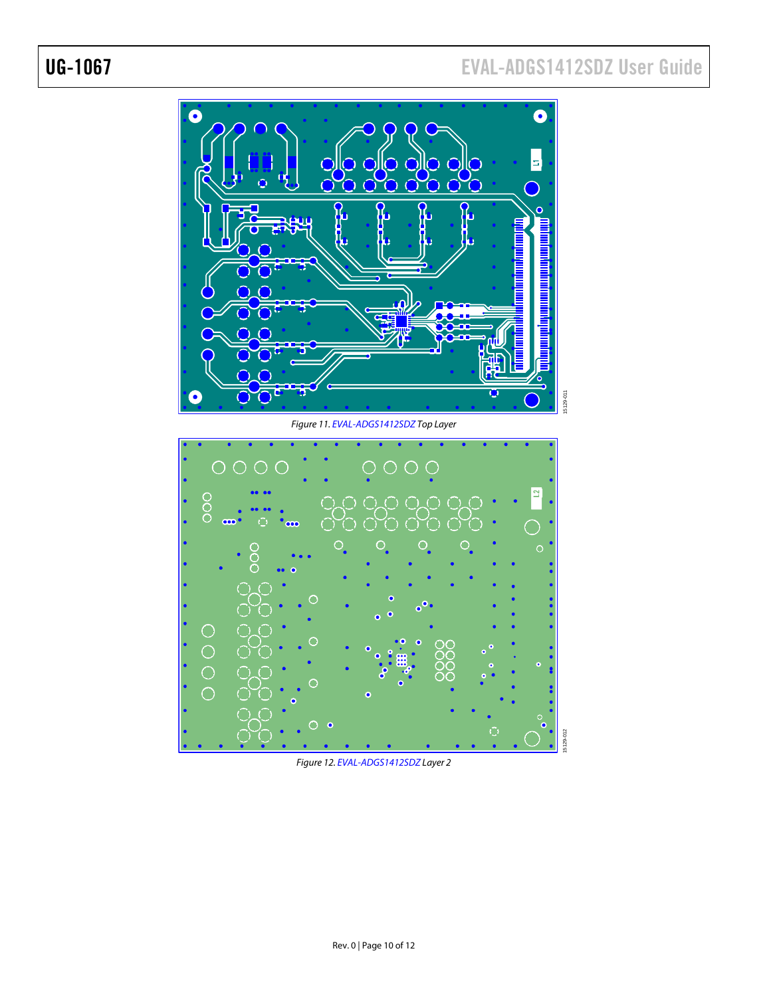# UG-1067 EVAL-ADGS1412SDZ User Guide



*Figure 12[. EVAL-ADGS1412SDZ](http://www.analog.com/EVAL-ADGS1412SDZ?doc=EVAL-ADGS1412SDZ-UG-1067.pdf) Layer 2*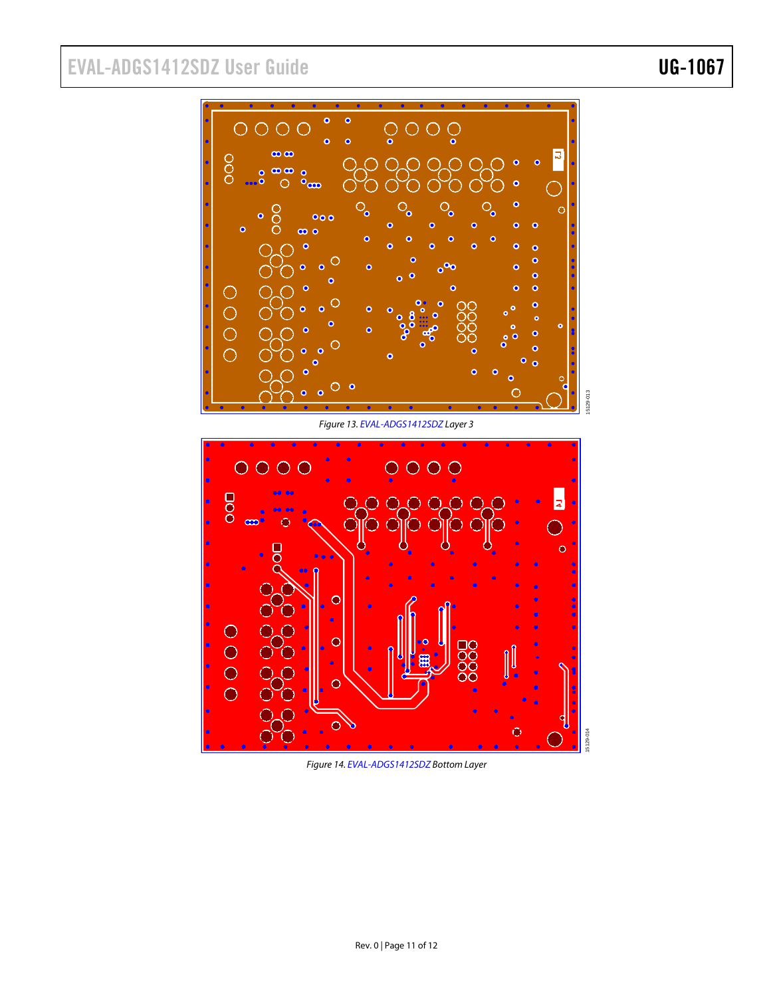# EVAL-ADGS1412SDZ User Guide VG-1067

#### $\begin{array}{c} \bullet \\ \bullet \end{array}$  $\bullet$  $\circ \circ \circ \circ$  $\bullet$  $\boldsymbol{\infty}$ OOO 귾  $\bullet$  $\infty$  $\overline{\bullet}$  $\bullet$  $\ddot{\circ}$  coo  $\circ$  $\bullet$  $\circ_{\bullet}$  $\bullet$  $\overline{O}$ 'n  $000$  $\bullet$  $\bullet$  $\bullet$  $\infty$  o  $\bullet$ o  $\bullet$ ö  $\ddot{\mathbf{o}}$ ò  $\bullet$  $\bullet$  $o^{o}$  $\circ$  $\bullet$ ō  $\circ$  $\bullet$  $\bullet$  $\bigcirc$ o  $\overline{O}$  $\bullet$  $\bullet$  $\overline{O}$ ö  $\bigcirc$  $\circ$  $\bullet$ Ō 5129-013 15129-013

*Figure 13[. EVAL-ADGS1412SDZ](http://www.analog.com/EVAL-ADGS1412SDZ?doc=EVAL-ADGS1412SDZ-UG-1067.pdf) Layer 3*



*Figure 14[. EVAL-ADGS1412SDZ](http://www.analog.com/EVAL-ADGS1412SDZ?doc=EVAL-ADGS1412SDZ-UG-1067.pdf) Bottom Layer*